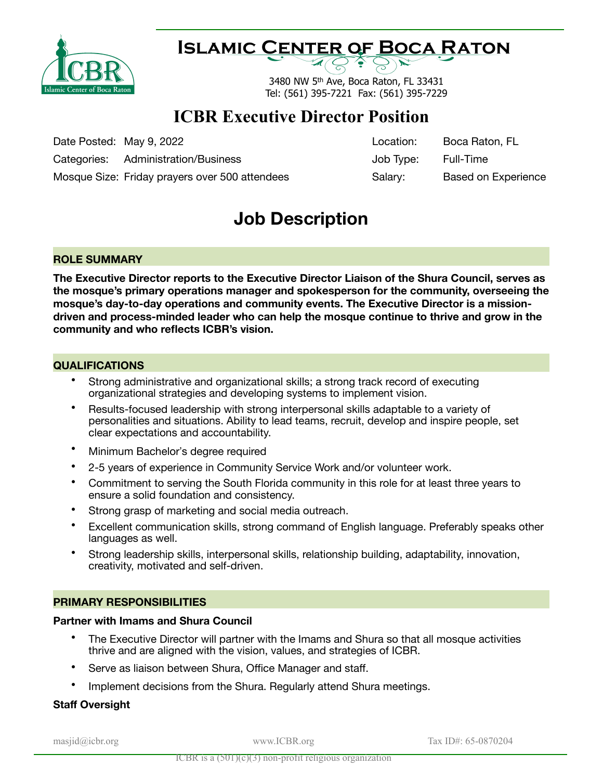

## **Islamic Center of Boca Raton**

3480 NW 5th Ave, Boca Raton, FL 33431 Tel: (561) 395-7221 Fax: (561) 395-7229

## **ICBR Executive Director Position**

Date Posted: May 9, 2022

Categories: Administration/Business

Mosque Size: Friday prayers over 500 attendees

| Location: | Boca Raton, FL             |
|-----------|----------------------------|
| Job Type: | Full-Time                  |
| Salary:   | <b>Based on Experience</b> |

## **Job Description**

#### **ROLE SUMMARY**

**The Executive Director reports to the Executive Director Liaison of the Shura Council, serves as the mosque's primary operations manager and spokesperson for the community, overseeing the mosque's day-to-day operations and community events. The Executive Director is a missiondriven and process-minded leader who can help the mosque continue to thrive and grow in the community and who reflects ICBR's vision.**

#### **QUALIFICATIONS**

- Strong administrative and organizational skills; a strong track record of executing organizational strategies and developing systems to implement vision.
- Results-focused leadership with strong interpersonal skills adaptable to a variety of personalities and situations. Ability to lead teams, recruit, develop and inspire people, set clear expectations and accountability.
- Minimum Bachelor's degree required
- 2-5 years of experience in Community Service Work and/or volunteer work.
- Commitment to serving the South Florida community in this role for at least three years to ensure a solid foundation and consistency.
- Strong grasp of marketing and social media outreach.
- Excellent communication skills, strong command of English language. Preferably speaks other languages as well.
- Strong leadership skills, interpersonal skills, relationship building, adaptability, innovation, creativity, motivated and self-driven.

#### **PRIMARY RESPONSIBILITIES**

#### **Partner with Imams and Shura Council**

- The Executive Director will partner with the Imams and Shura so that all mosque activities thrive and are aligned with the vision, values, and strategies of ICBR.
- Serve as liaison between Shura, Office Manager and staff.
- Implement decisions from the Shura. Regularly attend Shura meetings.

#### **Staff Oversight**

masjid@icbr.org www.ICBR.org Tax ID#: 65-0870204